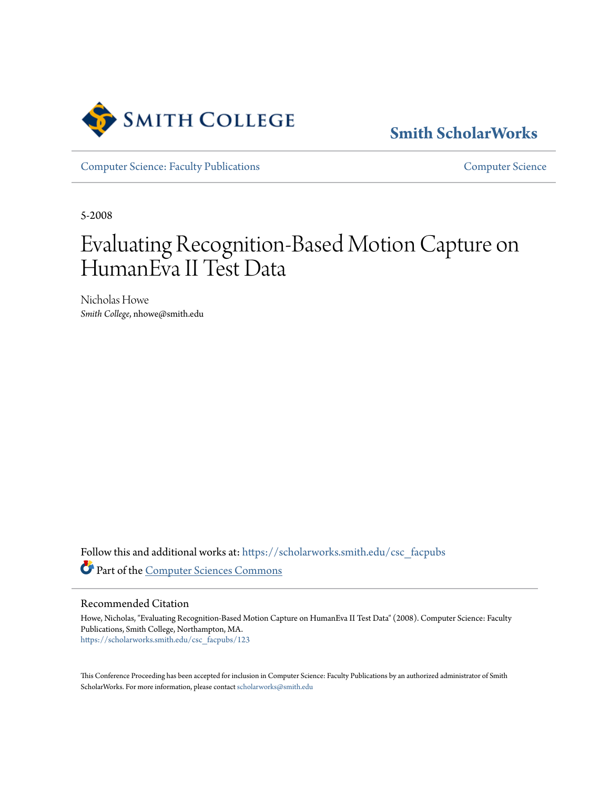

**[Smith ScholarWorks](https://scholarworks.smith.edu/?utm_source=scholarworks.smith.edu%2Fcsc_facpubs%2F123&utm_medium=PDF&utm_campaign=PDFCoverPages)**

[Computer Science: Faculty Publications](https://scholarworks.smith.edu/csc_facpubs?utm_source=scholarworks.smith.edu%2Fcsc_facpubs%2F123&utm_medium=PDF&utm_campaign=PDFCoverPages) [Computer Science](https://scholarworks.smith.edu/csc?utm_source=scholarworks.smith.edu%2Fcsc_facpubs%2F123&utm_medium=PDF&utm_campaign=PDFCoverPages)

5-2008

# Evaluating Recognition-Based Motion Capture on HumanEva II Test Data

Nicholas Howe *Smith College*, nhowe@smith.edu

Follow this and additional works at: [https://scholarworks.smith.edu/csc\\_facpubs](https://scholarworks.smith.edu/csc_facpubs?utm_source=scholarworks.smith.edu%2Fcsc_facpubs%2F123&utm_medium=PDF&utm_campaign=PDFCoverPages) Part of the [Computer Sciences Commons](http://network.bepress.com/hgg/discipline/142?utm_source=scholarworks.smith.edu%2Fcsc_facpubs%2F123&utm_medium=PDF&utm_campaign=PDFCoverPages)

Recommended Citation

Howe, Nicholas, "Evaluating Recognition-Based Motion Capture on HumanEva II Test Data" (2008). Computer Science: Faculty Publications, Smith College, Northampton, MA. [https://scholarworks.smith.edu/csc\\_facpubs/123](https://scholarworks.smith.edu/csc_facpubs/123?utm_source=scholarworks.smith.edu%2Fcsc_facpubs%2F123&utm_medium=PDF&utm_campaign=PDFCoverPages)

This Conference Proceeding has been accepted for inclusion in Computer Science: Faculty Publications by an authorized administrator of Smith ScholarWorks. For more information, please contact [scholarworks@smith.edu](mailto:scholarworks@smith.edu)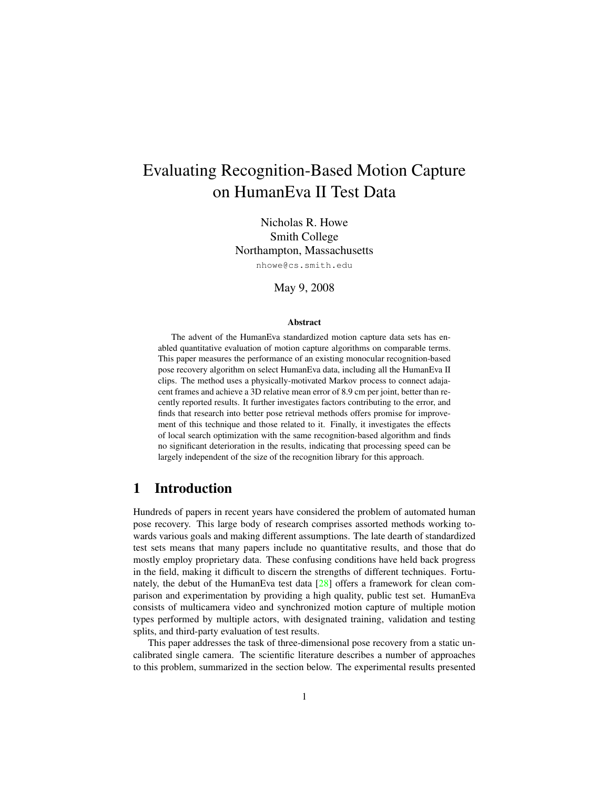# <span id="page-1-0"></span>Evaluating Recognition-Based Motion Capture on HumanEva II Test Data

Nicholas R. Howe Smith College Northampton, Massachusetts nhowe@cs.smith.edu

May 9, 2008

#### Abstract

The advent of the HumanEva standardized motion capture data sets has enabled quantitative evaluation of motion capture algorithms on comparable terms. This paper measures the performance of an existing monocular recognition-based pose recovery algorithm on select HumanEva data, including all the HumanEva II clips. The method uses a physically-motivated Markov process to connect adajacent frames and achieve a 3D relative mean error of 8.9 cm per joint, better than recently reported results. It further investigates factors contributing to the error, and finds that research into better pose retrieval methods offers promise for improvement of this technique and those related to it. Finally, it investigates the effects of local search optimization with the same recognition-based algorithm and finds no significant deterioration in the results, indicating that processing speed can be largely independent of the size of the recognition library for this approach.

## 1 Introduction

Hundreds of papers in recent years have considered the problem of automated human pose recovery. This large body of research comprises assorted methods working towards various goals and making different assumptions. The late dearth of standardized test sets means that many papers include no quantitative results, and those that do mostly employ proprietary data. These confusing conditions have held back progress in the field, making it difficult to discern the strengths of different techniques. Fortunately, the debut of the HumanEva test data  $[28]$  offers a framework for clean comparison and experimentation by providing a high quality, public test set. HumanEva consists of multicamera video and synchronized motion capture of multiple motion types performed by multiple actors, with designated training, validation and testing splits, and third-party evaluation of test results.

This paper addresses the task of three-dimensional pose recovery from a static uncalibrated single camera. The scientific literature describes a number of approaches to this problem, summarized in the section below. The experimental results presented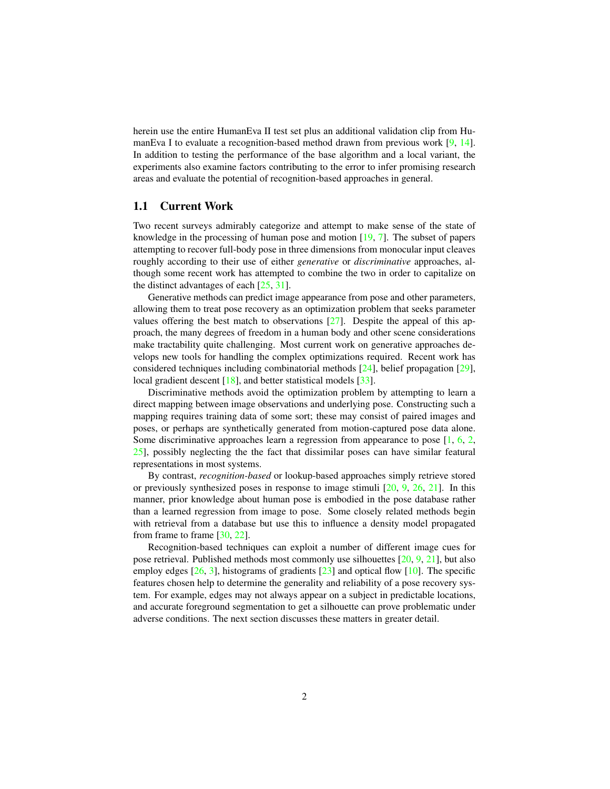<span id="page-2-0"></span>herein use the entire HumanEva II test set plus an additional validation clip from HumanEva I to evaluate a recognition-based method drawn from previous work  $[9, 14]$  $[9, 14]$  $[9, 14]$ . In addition to testing the performance of the base algorithm and a local variant, the experiments also examine factors contributing to the error to infer promising research areas and evaluate the potential of recognition-based approaches in general.

#### 1.1 Current Work

Two recent surveys admirably categorize and attempt to make sense of the state of knowledge in the processing of human pose and motion  $[19, 7]$  $[19, 7]$  $[19, 7]$ . The subset of papers attempting to recover full-body pose in three dimensions from monocular input cleaves roughly according to their use of either *generative* or *discriminative* approaches, although some recent work has attempted to combine the two in order to capitalize on the distinct advantages of each [\[25,](#page-18-3) [31\]](#page-18-4).

Generative methods can predict image appearance from pose and other parameters, allowing them to treat pose recovery as an optimization problem that seeks parameter values offering the best match to observations  $[27]$ . Despite the appeal of this approach, the many degrees of freedom in a human body and other scene considerations make tractability quite challenging. Most current work on generative approaches develops new tools for handling the complex optimizations required. Recent work has considered techniques including combinatorial methods [\[24\]](#page-18-6), belief propagation [\[29\]](#page-18-7), local gradient descent [\[18\]](#page-18-8), and better statistical models [\[33\]](#page-19-0).

Discriminative methods avoid the optimization problem by attempting to learn a direct mapping between image observations and underlying pose. Constructing such a mapping requires training data of some sort; these may consist of paired images and poses, or perhaps are synthetically generated from motion-captured pose data alone. Some discriminative approaches learn a regression from appearance to pose  $[1, 6, 2, 4]$  $[1, 6, 2, 4]$  $[1, 6, 2, 4]$  $[1, 6, 2, 4]$  $[1, 6, 2, 4]$  $[1, 6, 2, 4]$ [25\]](#page-18-3), possibly neglecting the the fact that dissimilar poses can have similar featural representations in most systems.

By contrast, *recognition-based* or lookup-based approaches simply retrieve stored or previously synthesized poses in response to image stimuli [\[20,](#page-18-9) [9,](#page-17-0) [26,](#page-18-10) [21\]](#page-18-11). In this manner, prior knowledge about human pose is embodied in the pose database rather than a learned regression from image to pose. Some closely related methods begin with retrieval from a database but use this to influence a density model propagated from frame to frame [\[30,](#page-18-12) [22\]](#page-18-13).

Recognition-based techniques can exploit a number of different image cues for pose retrieval. Published methods most commonly use silhouettes [\[20,](#page-18-9) [9,](#page-17-0) [21\]](#page-18-11), but also employ edges  $[26, 3]$  $[26, 3]$  $[26, 3]$ , histograms of gradients  $[23]$  and optical flow  $[10]$ . The specific features chosen help to determine the generality and reliability of a pose recovery system. For example, edges may not always appear on a subject in predictable locations, and accurate foreground segmentation to get a silhouette can prove problematic under adverse conditions. The next section discusses these matters in greater detail.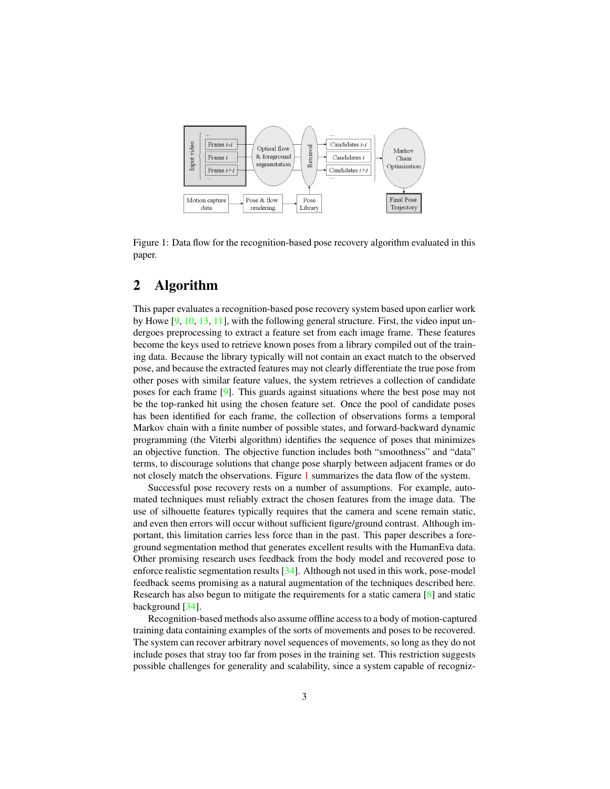<span id="page-3-1"></span>

<span id="page-3-0"></span>Figure 1: Data flow for the recognition-based pose recovery algorithm evaluated in this paper.

# 2 Algorithm

This paper evaluates a recognition-based pose recovery system based upon earlier work by Howe  $[9, 10, 13, 11]$  $[9, 10, 13, 11]$  $[9, 10, 13, 11]$  $[9, 10, 13, 11]$  $[9, 10, 13, 11]$  $[9, 10, 13, 11]$  $[9, 10, 13, 11]$ , with the following general structure. First, the video input undergoes preprocessing to extract a feature set from each image frame. These features become the keys used to retrieve known poses from a library compiled out of the training data. Because the library typically will not contain an exact match to the observed pose, and because the extracted features may not clearly differentiate the true pose from other poses with similar feature values, the system retrieves a collection of candidate poses for each frame [\[9\]](#page-17-0). This guards against situations where the best pose may not be the top-ranked hit using the chosen feature set. Once the pool of candidate poses has been identified for each frame, the collection of observations forms a temporal Markov chain with a finite number of possible states, and forward-backward dynamic programming (the Viterbi algorithm) identifies the sequence of poses that minimizes an objective function. The objective function includes both "smoothness" and "data" terms, to discourage solutions that change pose sharply between adjacent frames or do not closely match the observations. Figure [1](#page-3-0) summarizes the data flow of the system.

Successful pose recovery rests on a number of assumptions. For example, automated techniques must reliably extract the chosen features from the image data. The use of silhouette features typically requires that the camera and scene remain static, and even then errors will occur without sufficient figure/ground contrast. Although important, this limitation carries less force than in the past. This paper describes a foreground segmentation method that generates excellent results with the HumanEva data. Other promising research uses feedback from the body model and recovered pose to enforce realistic segmentation results  $[34]$ . Although not used in this work, pose-model feedback seems promising as a natural augmentation of the techniques described here. Research has also begun to mitigate the requirements for a static camera [\[8\]](#page-17-9) and static background [\[34\]](#page-19-1).

Recognition-based methods also assume offline access to a body of motion-captured training data containing examples of the sorts of movements and poses to be recovered. The system can recover arbitrary novel sequences of movements, so long as they do not include poses that stray too far from poses in the training set. This restriction suggests possible challenges for generality and scalability, since a system capable of recogniz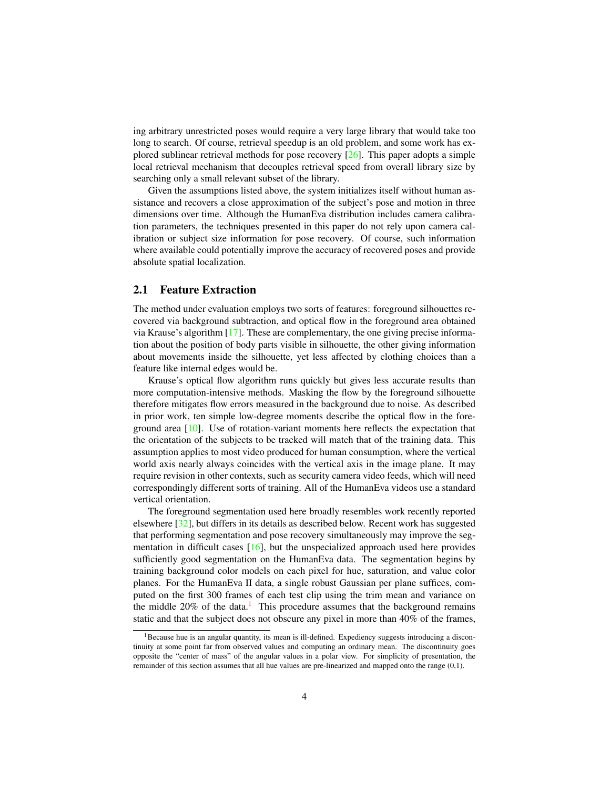<span id="page-4-1"></span>ing arbitrary unrestricted poses would require a very large library that would take too long to search. Of course, retrieval speedup is an old problem, and some work has explored sublinear retrieval methods for pose recovery  $[26]$ . This paper adopts a simple local retrieval mechanism that decouples retrieval speed from overall library size by searching only a small relevant subset of the library.

Given the assumptions listed above, the system initializes itself without human assistance and recovers a close approximation of the subject's pose and motion in three dimensions over time. Although the HumanEva distribution includes camera calibration parameters, the techniques presented in this paper do not rely upon camera calibration or subject size information for pose recovery. Of course, such information where available could potentially improve the accuracy of recovered poses and provide absolute spatial localization.

#### 2.1 Feature Extraction

The method under evaluation employs two sorts of features: foreground silhouettes recovered via background subtraction, and optical flow in the foreground area obtained via Krause's algorithm [\[17\]](#page-18-15). These are complementary, the one giving precise information about the position of body parts visible in silhouette, the other giving information about movements inside the silhouette, yet less affected by clothing choices than a feature like internal edges would be.

Krause's optical flow algorithm runs quickly but gives less accurate results than more computation-intensive methods. Masking the flow by the foreground silhouette therefore mitigates flow errors measured in the background due to noise. As described in prior work, ten simple low-degree moments describe the optical flow in the foreground area [\[10\]](#page-17-6). Use of rotation-variant moments here reflects the expectation that the orientation of the subjects to be tracked will match that of the training data. This assumption applies to most video produced for human consumption, where the vertical world axis nearly always coincides with the vertical axis in the image plane. It may require revision in other contexts, such as security camera video feeds, which will need correspondingly different sorts of training. All of the HumanEva videos use a standard vertical orientation.

The foreground segmentation used here broadly resembles work recently reported elsewhere [\[32\]](#page-19-2), but differs in its details as described below. Recent work has suggested that performing segmentation and pose recovery simultaneously may improve the segmentation in difficult cases [\[16\]](#page-18-16), but the unspecialized approach used here provides sufficiently good segmentation on the HumanEva data. The segmentation begins by training background color models on each pixel for hue, saturation, and value color planes. For the HumanEva II data, a single robust Gaussian per plane suffices, computed on the first 300 frames of each test clip using the trim mean and variance on the middle  $20\%$  of the data.<sup>[1](#page-4-0)</sup> This procedure assumes that the background remains static and that the subject does not obscure any pixel in more than 40% of the frames,

<span id="page-4-0"></span> ${}^{1}$ Because hue is an angular quantity, its mean is ill-defined. Expediency suggests introducing a discontinuity at some point far from observed values and computing an ordinary mean. The discontinuity goes opposite the "center of mass" of the angular values in a polar view. For simplicity of presentation, the remainder of this section assumes that all hue values are pre-linearized and mapped onto the range (0,1).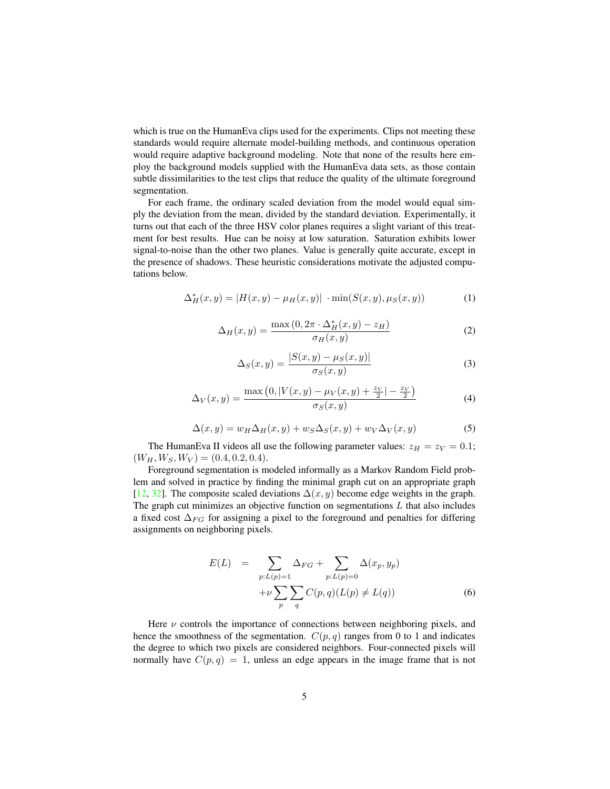<span id="page-5-0"></span>which is true on the HumanEva clips used for the experiments. Clips not meeting these standards would require alternate model-building methods, and continuous operation would require adaptive background modeling. Note that none of the results here employ the background models supplied with the HumanEva data sets, as those contain subtle dissimilarities to the test clips that reduce the quality of the ultimate foreground segmentation.

For each frame, the ordinary scaled deviation from the model would equal simply the deviation from the mean, divided by the standard deviation. Experimentally, it turns out that each of the three HSV color planes requires a slight variant of this treatment for best results. Hue can be noisy at low saturation. Saturation exhibits lower signal-to-noise than the other two planes. Value is generally quite accurate, except in the presence of shadows. These heuristic considerations motivate the adjusted computations below.

$$
\Delta_H^*(x, y) = |H(x, y) - \mu_H(x, y)| \cdot \min(S(x, y), \mu_S(x, y))
$$
 (1)

$$
\Delta_H(x,y) = \frac{\max(0, 2\pi \cdot \Delta_H^*(x,y) - z_H)}{\sigma_H(x,y)}
$$
\n(2)

$$
\Delta_S(x, y) = \frac{|S(x, y) - \mu_S(x, y)|}{\sigma_S(x, y)}
$$
\n(3)

$$
\Delta_V(x,y) = \frac{\max(0, |V(x,y) - \mu_V(x,y) + \frac{z_V}{2}| - \frac{z_V}{2})}{\sigma_S(x,y)}
$$
(4)

$$
\Delta(x,y) = w_H \Delta_H(x,y) + w_S \Delta_S(x,y) + w_V \Delta_V(x,y)
$$
\n(5)

The HumanEva II videos all use the following parameter values:  $z_H = z_V = 0.1$ ;  $(W_H, W_S, W_V) = (0.4, 0.2, 0.4).$ 

Foreground segmentation is modeled informally as a Markov Random Field problem and solved in practice by finding the minimal graph cut on an appropriate graph [\[12,](#page-17-10) [32\]](#page-19-2). The composite scaled deviations  $\Delta(x, y)$  become edge weights in the graph. The graph cut minimizes an objective function on segmentations  $L$  that also includes a fixed cost  $\Delta_{FG}$  for assigning a pixel to the foreground and penalties for differing assignments on neighboring pixels.

$$
E(L) = \sum_{p:L(p)=1} \Delta_{FG} + \sum_{p:L(p)=0} \Delta(x_p, y_p)
$$

$$
+ \nu \sum_{p} \sum_{q} C(p,q)(L(p) \neq L(q)) \tag{6}
$$

Here  $\nu$  controls the importance of connections between neighboring pixels, and hence the smoothness of the segmentation.  $C(p, q)$  ranges from 0 to 1 and indicates the degree to which two pixels are considered neighbors. Four-connected pixels will normally have  $C(p, q) = 1$ , unless an edge appears in the image frame that is not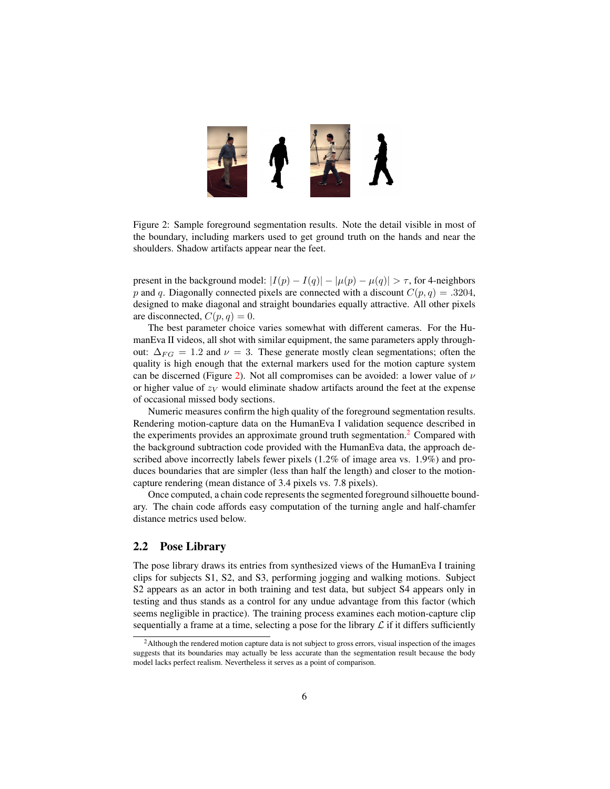

<span id="page-6-0"></span>Figure 2: Sample foreground segmentation results. Note the detail visible in most of the boundary, including markers used to get ground truth on the hands and near the shoulders. Shadow artifacts appear near the feet.

present in the background model:  $|I(p) - I(q)| - |\mu(p) - \mu(q)| > \tau$ , for 4-neighbors p and q. Diagonally connected pixels are connected with a discount  $C(p, q) = .3204$ , designed to make diagonal and straight boundaries equally attractive. All other pixels are disconnected,  $C(p, q) = 0$ .

The best parameter choice varies somewhat with different cameras. For the HumanEva II videos, all shot with similar equipment, the same parameters apply throughout:  $\Delta_{FG} = 1.2$  and  $\nu = 3$ . These generate mostly clean segmentations; often the quality is high enough that the external markers used for the motion capture system can be discerned (Figure [2\)](#page-6-0). Not all compromises can be avoided: a lower value of  $\nu$ or higher value of  $z_V$  would eliminate shadow artifacts around the feet at the expense of occasional missed body sections.

Numeric measures confirm the high quality of the foreground segmentation results. Rendering motion-capture data on the HumanEva I validation sequence described in the experiments provides an approximate ground truth segmentation.<sup>[2](#page-6-1)</sup> Compared with the background subtraction code provided with the HumanEva data, the approach described above incorrectly labels fewer pixels (1.2% of image area vs. 1.9%) and produces boundaries that are simpler (less than half the length) and closer to the motioncapture rendering (mean distance of 3.4 pixels vs. 7.8 pixels).

Once computed, a chain code represents the segmented foreground silhouette boundary. The chain code affords easy computation of the turning angle and half-chamfer distance metrics used below.

#### 2.2 Pose Library

The pose library draws its entries from synthesized views of the HumanEva I training clips for subjects S1, S2, and S3, performing jogging and walking motions. Subject S2 appears as an actor in both training and test data, but subject S4 appears only in testing and thus stands as a control for any undue advantage from this factor (which seems negligible in practice). The training process examines each motion-capture clip sequentially a frame at a time, selecting a pose for the library  $\mathcal L$  if it differs sufficiently

<span id="page-6-1"></span><sup>&</sup>lt;sup>2</sup>Although the rendered motion capture data is not subject to gross errors, visual inspection of the images suggests that its boundaries may actually be less accurate than the segmentation result because the body model lacks perfect realism. Nevertheless it serves as a point of comparison.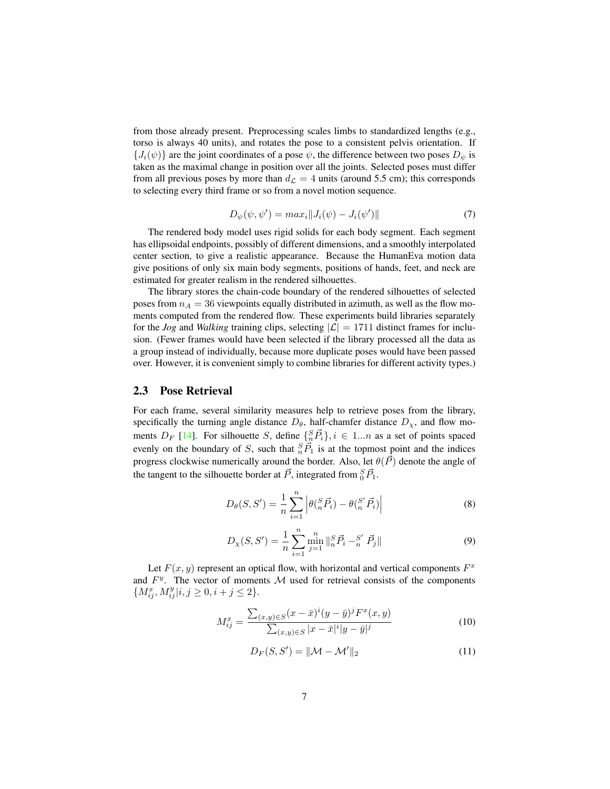<span id="page-7-2"></span>from those already present. Preprocessing scales limbs to standardized lengths (e.g., torso is always 40 units), and rotates the pose to a consistent pelvis orientation. If  $\{J_i(\psi)\}\$ are the joint coordinates of a pose  $\psi$ , the difference between two poses  $D_{\psi}$  is taken as the maximal change in position over all the joints. Selected poses must differ from all previous poses by more than  $d_{\mathcal{L}} = 4$  units (around 5.5 cm); this corresponds to selecting every third frame or so from a novel motion sequence.

<span id="page-7-1"></span>
$$
D_{\psi}(\psi, \psi') = max_{i} ||J_{i}(\psi) - J_{i}(\psi')|| \tag{7}
$$

The rendered body model uses rigid solids for each body segment. Each segment has ellipsoidal endpoints, possibly of different dimensions, and a smoothly interpolated center section, to give a realistic appearance. Because the HumanEva motion data give positions of only six main body segments, positions of hands, feet, and neck are estimated for greater realism in the rendered silhouettes.

The library stores the chain-code boundary of the rendered silhouettes of selected poses from  $n_A = 36$  viewpoints equally distributed in azimuth, as well as the flow moments computed from the rendered flow. These experiments build libraries separately for the *Jog* and *Walking* training clips, selecting  $|\mathcal{L}| = 1711$  distinct frames for inclusion. (Fewer frames would have been selected if the library processed all the data as a group instead of individually, because more duplicate poses would have been passed over. However, it is convenient simply to combine libraries for different activity types.)

#### 2.3 Pose Retrieval

For each frame, several similarity measures help to retrieve poses from the library, specifically the turning angle distance  $D_{\theta}$ , half-chamfer distance  $D_{\gamma}$ , and flow moments  $D_F$  [\[14\]](#page-18-1). For silhouette S, define  $\{ {}_n^S \vec{P}_i \}$ ,  $i \in 1...n$  as a set of points spaced evenly on the boundary of S, such that  ${}_{n}^{S} \vec{P}_{1}$  is at the topmost point and the indices progress clockwise numerically around the border. Also, let  $\theta(\vec{P})$  denote the angle of the tangent to the silhouette border at  $\vec{P}$ , integrated from  ${}_{0}^{S} \vec{P}_{1}$ .

$$
D_{\theta}(S, S') = \frac{1}{n} \sum_{i=1}^{n} \left| \theta(s_i^S \vec{P}_i) - \theta(s_i^S \vec{P}_i) \right|
$$
 (8)

<span id="page-7-0"></span>
$$
D_{\chi}(S, S') = \frac{1}{n} \sum_{i=1}^{n} \min_{j=1}^{n} \left\| {}_{n}^{S} \vec{P}_{i} - {}_{n}^{S'} \vec{P}_{j} \right\|
$$
(9)

Let  $F(x, y)$  represent an optical flow, with horizontal and vertical components  $F^x$ and  $F<sup>y</sup>$ . The vector of moments  $M$  used for retrieval consists of the components  ${M_{ij}^x, M_{ij}^y|i, j \ge 0, i+j \le 2}.$ 

$$
M_{ij}^x = \frac{\sum_{(x,y)\in S} (x-\bar{x})^i (y-\bar{y})^j F^x(x,y)}{\sum_{(x,y)\in S} |x-\bar{x}|^i |y-\bar{y}|^j}
$$
(10)

$$
D_F(S, S') = \|\mathcal{M} - \mathcal{M}'\|_2 \tag{11}
$$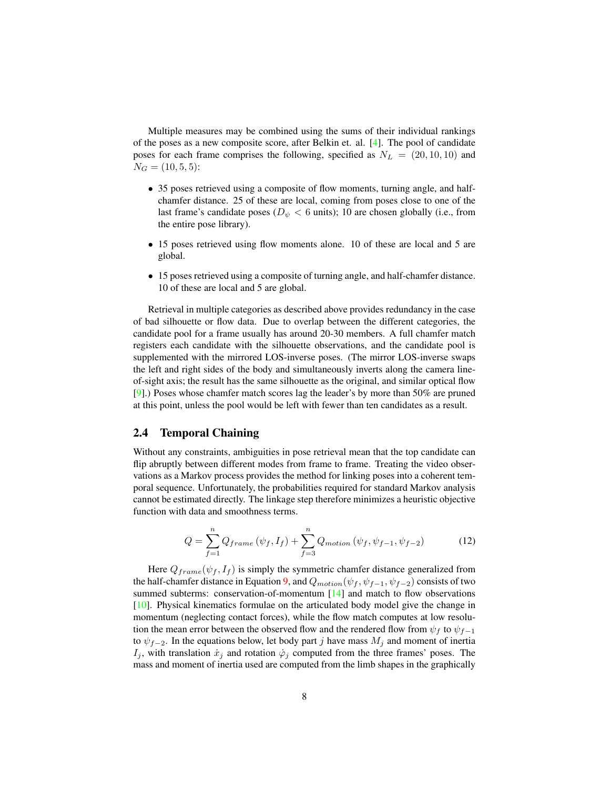<span id="page-8-0"></span>Multiple measures may be combined using the sums of their individual rankings of the poses as a new composite score, after Belkin et. al. [\[4\]](#page-17-11). The pool of candidate poses for each frame comprises the following, specified as  $N_L = (20, 10, 10)$  and  $N_G = (10, 5, 5)$ :

- 35 poses retrieved using a composite of flow moments, turning angle, and halfchamfer distance. 25 of these are local, coming from poses close to one of the last frame's candidate poses ( $D_{\psi}$  < 6 units); 10 are chosen globally (i.e., from the entire pose library).
- 15 poses retrieved using flow moments alone. 10 of these are local and 5 are global.
- 15 poses retrieved using a composite of turning angle, and half-chamfer distance. 10 of these are local and 5 are global.

Retrieval in multiple categories as described above provides redundancy in the case of bad silhouette or flow data. Due to overlap between the different categories, the candidate pool for a frame usually has around 20-30 members. A full chamfer match registers each candidate with the silhouette observations, and the candidate pool is supplemented with the mirrored LOS-inverse poses. (The mirror LOS-inverse swaps the left and right sides of the body and simultaneously inverts along the camera lineof-sight axis; the result has the same silhouette as the original, and similar optical flow [\[9\]](#page-17-0).) Poses whose chamfer match scores lag the leader's by more than 50% are pruned at this point, unless the pool would be left with fewer than ten candidates as a result.

#### 2.4 Temporal Chaining

Without any constraints, ambiguities in pose retrieval mean that the top candidate can flip abruptly between different modes from frame to frame. Treating the video observations as a Markov process provides the method for linking poses into a coherent temporal sequence. Unfortunately, the probabilities required for standard Markov analysis cannot be estimated directly. The linkage step therefore minimizes a heuristic objective function with data and smoothness terms.

$$
Q = \sum_{f=1}^{n} Q_{frame} (\psi_f, I_f) + \sum_{f=3}^{n} Q_{motion} (\psi_f, \psi_{f-1}, \psi_{f-2})
$$
 (12)

Here  $Q_{frame}(\psi_f, I_f)$  is simply the symmetric chamfer distance generalized from the half-chamfer distance in Equation [9,](#page-7-0) and  $Q_{motion}(\psi_f, \psi_{f-1}, \psi_{f-2})$  consists of two summed subterms: conservation-of-momentum [\[14\]](#page-18-1) and match to flow observations [\[10\]](#page-17-6). Physical kinematics formulae on the articulated body model give the change in momentum (neglecting contact forces), while the flow match computes at low resolution the mean error between the observed flow and the rendered flow from  $\psi_f$  to  $\psi_{f-1}$ to  $\psi_{f-2}$ . In the equations below, let body part j have mass  $M_j$  and moment of inertia  $I_j$ , with translation  $\dot{x}_j$  and rotation  $\dot{\varphi}_j$  computed from the three frames' poses. The mass and moment of inertia used are computed from the limb shapes in the graphically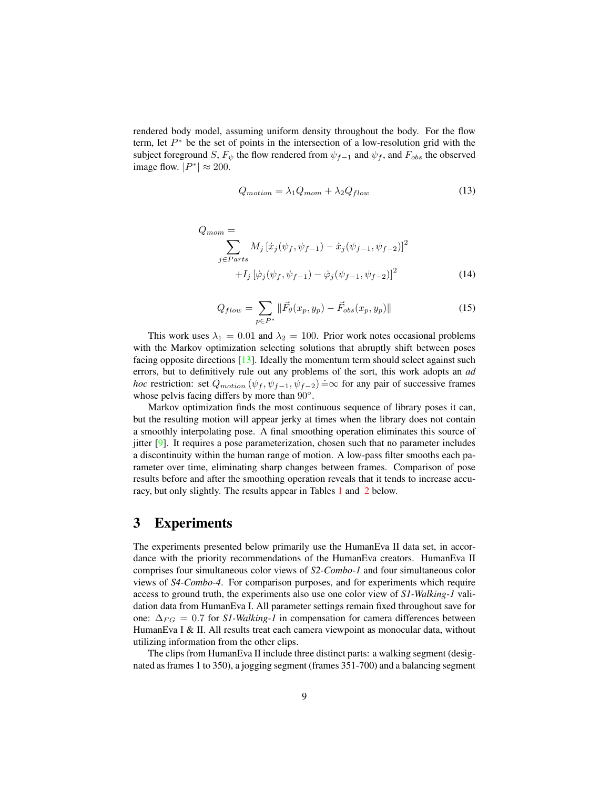<span id="page-9-1"></span>rendered body model, assuming uniform density throughout the body. For the flow term, let  $P^*$  be the set of points in the intersection of a low-resolution grid with the subject foreground S,  $F_{\psi}$  the flow rendered from  $\psi_{f-1}$  and  $\psi_f$ , and  $F_{obs}$  the observed image flow.  $|P^*| \approx 200$ .

<span id="page-9-0"></span>
$$
Q_{motion} = \lambda_1 Q_{mom} + \lambda_2 Q_{flow}
$$
 (13)

$$
Q_{mom} = \sum_{j \in Parts} M_j \left[ \dot{x}_j(\psi_f, \psi_{f-1}) - \dot{x}_j(\psi_{f-1}, \psi_{f-2}) \right]^2 + I_j \left[ \dot{\varphi}_j(\psi_f, \psi_{f-1}) - \dot{\varphi}_j(\psi_{f-1}, \psi_{f-2}) \right]^2 \tag{14}
$$

$$
Q_{flow} = \sum_{p \in P^*} \|\vec{F}_{\theta}(x_p, y_p) - \vec{F}_{obs}(x_p, y_p)\|
$$
 (15)

This work uses  $\lambda_1 = 0.01$  and  $\lambda_2 = 100$ . Prior work notes occasional problems with the Markov optimization selecting solutions that abruptly shift between poses facing opposite directions [\[13\]](#page-17-7). Ideally the momentum term should select against such errors, but to definitively rule out any problems of the sort, this work adopts an *ad hoc* restriction: set  $Q_{motion}(\psi_f, \psi_{f-1}, \psi_{f-2}) = \infty$  for any pair of successive frames whose pelvis facing differs by more than 90°.

Markov optimization finds the most continuous sequence of library poses it can, but the resulting motion will appear jerky at times when the library does not contain a smoothly interpolating pose. A final smoothing operation eliminates this source of jitter [\[9\]](#page-17-0). It requires a pose parameterization, chosen such that no parameter includes a discontinuity within the human range of motion. A low-pass filter smooths each parameter over time, eliminating sharp changes between frames. Comparison of pose results before and after the smoothing operation reveals that it tends to increase accuracy, but only slightly. The results appear in Tables [1](#page-12-0) and [2](#page-15-0) below.

### 3 Experiments

The experiments presented below primarily use the HumanEva II data set, in accordance with the priority recommendations of the HumanEva creators. HumanEva II comprises four simultaneous color views of *S2-Combo-1* and four simultaneous color views of *S4-Combo-4*. For comparison purposes, and for experiments which require access to ground truth, the experiments also use one color view of *S1-Walking-1* validation data from HumanEva I. All parameter settings remain fixed throughout save for one:  $\Delta_{FG} = 0.7$  for *S1-Walking-1* in compensation for camera differences between HumanEva I & II. All results treat each camera viewpoint as monocular data, without utilizing information from the other clips.

The clips from HumanEva II include three distinct parts: a walking segment (designated as frames 1 to 350), a jogging segment (frames 351-700) and a balancing segment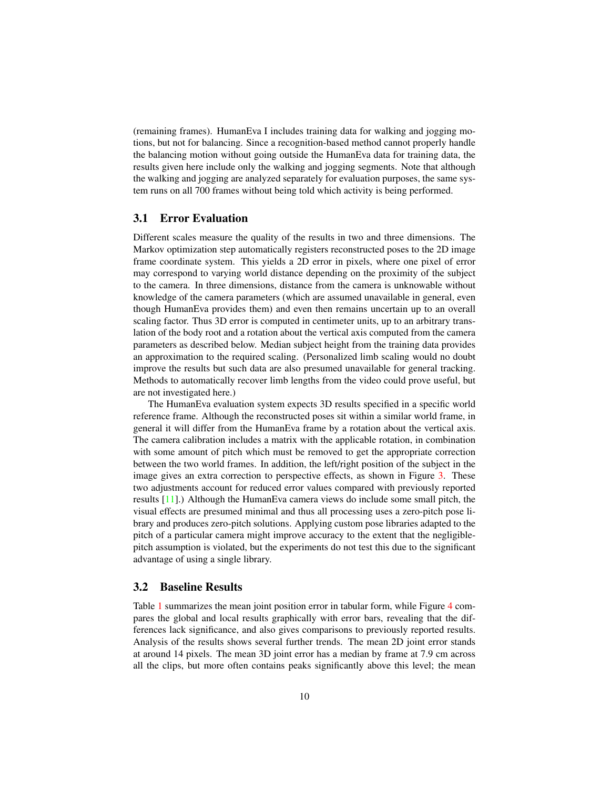<span id="page-10-0"></span>(remaining frames). HumanEva I includes training data for walking and jogging motions, but not for balancing. Since a recognition-based method cannot properly handle the balancing motion without going outside the HumanEva data for training data, the results given here include only the walking and jogging segments. Note that although the walking and jogging are analyzed separately for evaluation purposes, the same system runs on all 700 frames without being told which activity is being performed.

#### 3.1 Error Evaluation

Different scales measure the quality of the results in two and three dimensions. The Markov optimization step automatically registers reconstructed poses to the 2D image frame coordinate system. This yields a 2D error in pixels, where one pixel of error may correspond to varying world distance depending on the proximity of the subject to the camera. In three dimensions, distance from the camera is unknowable without knowledge of the camera parameters (which are assumed unavailable in general, even though HumanEva provides them) and even then remains uncertain up to an overall scaling factor. Thus 3D error is computed in centimeter units, up to an arbitrary translation of the body root and a rotation about the vertical axis computed from the camera parameters as described below. Median subject height from the training data provides an approximation to the required scaling. (Personalized limb scaling would no doubt improve the results but such data are also presumed unavailable for general tracking. Methods to automatically recover limb lengths from the video could prove useful, but are not investigated here.)

The HumanEva evaluation system expects 3D results specified in a specific world reference frame. Although the reconstructed poses sit within a similar world frame, in general it will differ from the HumanEva frame by a rotation about the vertical axis. The camera calibration includes a matrix with the applicable rotation, in combination with some amount of pitch which must be removed to get the appropriate correction between the two world frames. In addition, the left/right position of the subject in the image gives an extra correction to perspective effects, as shown in Figure [3.](#page-11-0) These two adjustments account for reduced error values compared with previously reported results [\[11\]](#page-17-8).) Although the HumanEva camera views do include some small pitch, the visual effects are presumed minimal and thus all processing uses a zero-pitch pose library and produces zero-pitch solutions. Applying custom pose libraries adapted to the pitch of a particular camera might improve accuracy to the extent that the negligiblepitch assumption is violated, but the experiments do not test this due to the significant advantage of using a single library.

#### 3.2 Baseline Results

Table [1](#page-12-0) summarizes the mean joint position error in tabular form, while Figure [4](#page-13-0) compares the global and local results graphically with error bars, revealing that the differences lack significance, and also gives comparisons to previously reported results. Analysis of the results shows several further trends. The mean 2D joint error stands at around 14 pixels. The mean 3D joint error has a median by frame at 7.9 cm across all the clips, but more often contains peaks significantly above this level; the mean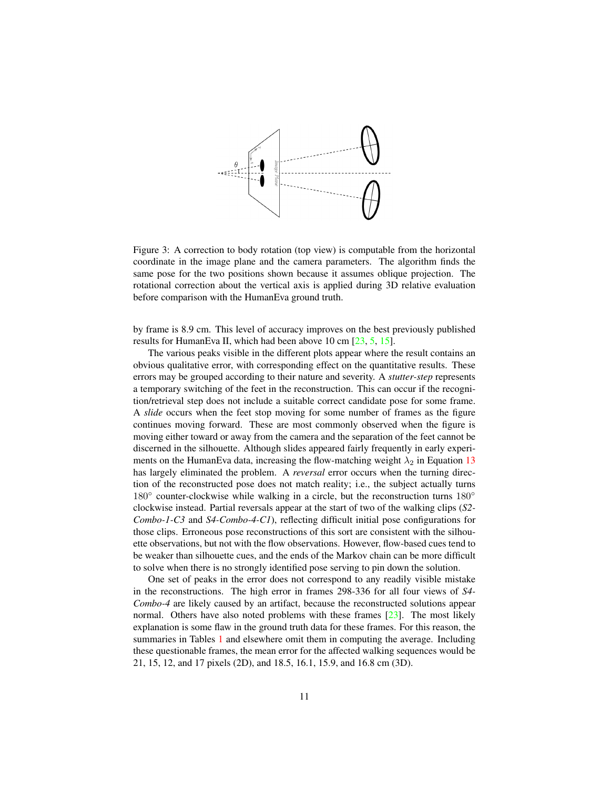<span id="page-11-1"></span>

<span id="page-11-0"></span>Figure 3: A correction to body rotation (top view) is computable from the horizontal coordinate in the image plane and the camera parameters. The algorithm finds the same pose for the two positions shown because it assumes oblique projection. The rotational correction about the vertical axis is applied during 3D relative evaluation before comparison with the HumanEva ground truth.

by frame is 8.9 cm. This level of accuracy improves on the best previously published results for HumanEva II, which had been above 10 cm [\[23,](#page-18-14) [5,](#page-17-12) [15\]](#page-18-17).

The various peaks visible in the different plots appear where the result contains an obvious qualitative error, with corresponding effect on the quantitative results. These errors may be grouped according to their nature and severity. A *stutter-step* represents a temporary switching of the feet in the reconstruction. This can occur if the recognition/retrieval step does not include a suitable correct candidate pose for some frame. A *slide* occurs when the feet stop moving for some number of frames as the figure continues moving forward. These are most commonly observed when the figure is moving either toward or away from the camera and the separation of the feet cannot be discerned in the silhouette. Although slides appeared fairly frequently in early experiments on the HumanEva data, increasing the flow-matching weight  $\lambda_2$  in Equation [13](#page-9-0) has largely eliminated the problem. A *reversal* error occurs when the turning direction of the reconstructed pose does not match reality; i.e., the subject actually turns 180° counter-clockwise while walking in a circle, but the reconstruction turns 180° clockwise instead. Partial reversals appear at the start of two of the walking clips (*S2- Combo-1-C3* and *S4-Combo-4-C1*), reflecting difficult initial pose configurations for those clips. Erroneous pose reconstructions of this sort are consistent with the silhouette observations, but not with the flow observations. However, flow-based cues tend to be weaker than silhouette cues, and the ends of the Markov chain can be more difficult to solve when there is no strongly identified pose serving to pin down the solution.

One set of peaks in the error does not correspond to any readily visible mistake in the reconstructions. The high error in frames 298-336 for all four views of *S4- Combo-4* are likely caused by an artifact, because the reconstructed solutions appear normal. Others have also noted problems with these frames [\[23\]](#page-18-14). The most likely explanation is some flaw in the ground truth data for these frames. For this reason, the summaries in Tables [1](#page-12-0) and elsewhere omit them in computing the average. Including these questionable frames, the mean error for the affected walking sequences would be 21, 15, 12, and 17 pixels (2D), and 18.5, 16.1, 15.9, and 16.8 cm (3D).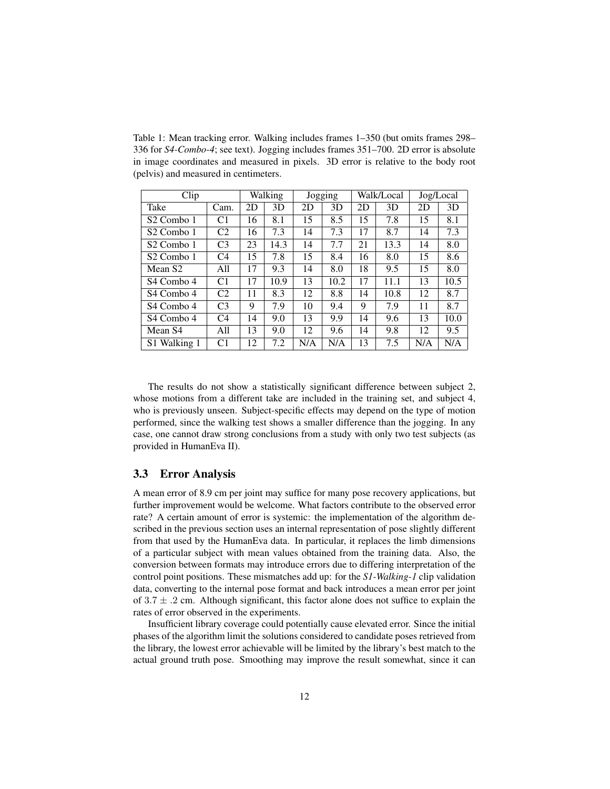<span id="page-12-0"></span>Table 1: Mean tracking error. Walking includes frames 1–350 (but omits frames 298– 336 for *S4-Combo-4*; see text). Jogging includes frames 351–700. 2D error is absolute in image coordinates and measured in pixels. 3D error is relative to the body root (pelvis) and measured in centimeters.

| Clip                   |                | Walking |      | Jogging |      | Walk/Local |      | Jog/Local |      |
|------------------------|----------------|---------|------|---------|------|------------|------|-----------|------|
| Take                   | Cam.           | 2D      | 3D   | 2D      | 3D   | 2D         | 3D   | 2D        | 3D   |
| S <sub>2</sub> Combo 1 | C <sub>1</sub> | 16      | 8.1  | 15      | 8.5  | 15         | 7.8  | 15        | 8.1  |
| S <sub>2</sub> Combo 1 | C <sub>2</sub> | 16      | 7.3  | 14      | 7.3  | 17         | 8.7  | 14        | 7.3  |
| S <sub>2</sub> Combo 1 | C <sub>3</sub> | 23      | 14.3 | 14      | 7.7  | 21         | 13.3 | 14        | 8.0  |
| S <sub>2</sub> Combo 1 | C4             | 15      | 7.8  | 15      | 8.4  | 16         | 8.0  | 15        | 8.6  |
| Mean S <sub>2</sub>    | All            | 17      | 9.3  | 14      | 8.0  | 18         | 9.5  | 15        | 8.0  |
| S <sub>4</sub> Combo 4 | C <sub>1</sub> | 17      | 10.9 | 13      | 10.2 | 17         | 11.1 | 13        | 10.5 |
| S4 Combo 4             | C <sub>2</sub> | 11      | 8.3  | 12      | 8.8  | 14         | 10.8 | 12        | 8.7  |
| S4 Combo 4             | C <sub>3</sub> | 9       | 7.9  | 10      | 9.4  | 9          | 7.9  | 11        | 8.7  |
| S4 Combo 4             | C <sub>4</sub> | 14      | 9.0  | 13      | 9.9  | 14         | 9.6  | 13        | 10.0 |
| Mean S4                | A11            | 13      | 9.0  | 12      | 9.6  | 14         | 9.8  | 12        | 9.5  |
| S1 Walking 1           | C1             | 12      | 7.2  | N/A     | N/A  | 13         | 7.5  | N/A       | N/A  |

The results do not show a statistically significant difference between subject 2, whose motions from a different take are included in the training set, and subject 4, who is previously unseen. Subject-specific effects may depend on the type of motion performed, since the walking test shows a smaller difference than the jogging. In any case, one cannot draw strong conclusions from a study with only two test subjects (as provided in HumanEva II).

#### 3.3 Error Analysis

A mean error of 8.9 cm per joint may suffice for many pose recovery applications, but further improvement would be welcome. What factors contribute to the observed error rate? A certain amount of error is systemic: the implementation of the algorithm described in the previous section uses an internal representation of pose slightly different from that used by the HumanEva data. In particular, it replaces the limb dimensions of a particular subject with mean values obtained from the training data. Also, the conversion between formats may introduce errors due to differing interpretation of the control point positions. These mismatches add up: for the *S1-Walking-1* clip validation data, converting to the internal pose format and back introduces a mean error per joint of  $3.7 \pm .2$  cm. Although significant, this factor alone does not suffice to explain the rates of error observed in the experiments.

Insufficient library coverage could potentially cause elevated error. Since the initial phases of the algorithm limit the solutions considered to candidate poses retrieved from the library, the lowest error achievable will be limited by the library's best match to the actual ground truth pose. Smoothing may improve the result somewhat, since it can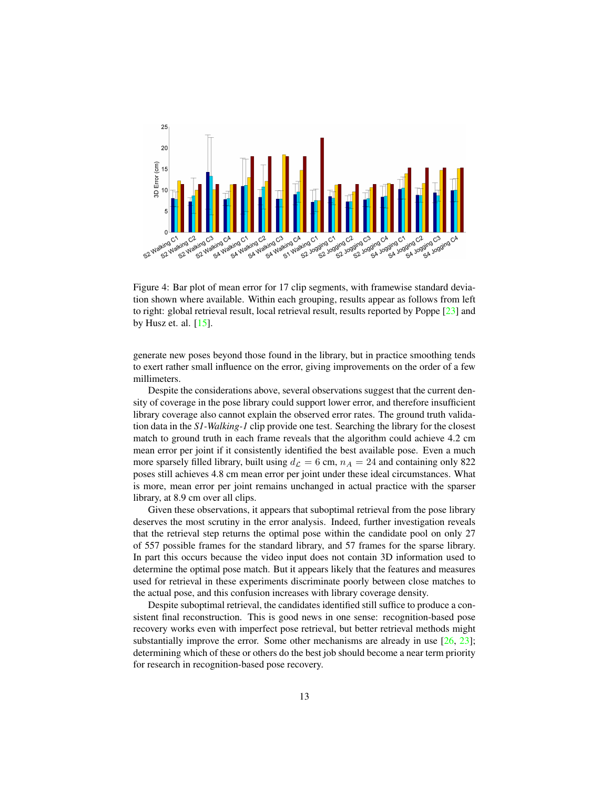<span id="page-13-1"></span>

<span id="page-13-0"></span>Figure 4: Bar plot of mean error for 17 clip segments, with framewise standard deviation shown where available. Within each grouping, results appear as follows from left to right: global retrieval result, local retrieval result, results reported by Poppe [\[23\]](#page-18-14) and by Husz et. al. [\[15\]](#page-18-17).

generate new poses beyond those found in the library, but in practice smoothing tends to exert rather small influence on the error, giving improvements on the order of a few millimeters.

Despite the considerations above, several observations suggest that the current density of coverage in the pose library could support lower error, and therefore insufficient library coverage also cannot explain the observed error rates. The ground truth validation data in the *S1-Walking-1* clip provide one test. Searching the library for the closest match to ground truth in each frame reveals that the algorithm could achieve 4.2 cm mean error per joint if it consistently identified the best available pose. Even a much more sparsely filled library, built using  $d_{\mathcal{L}} = 6$  cm,  $n_A = 24$  and containing only 822 poses still achieves 4.8 cm mean error per joint under these ideal circumstances. What is more, mean error per joint remains unchanged in actual practice with the sparser library, at 8.9 cm over all clips.

Given these observations, it appears that suboptimal retrieval from the pose library deserves the most scrutiny in the error analysis. Indeed, further investigation reveals that the retrieval step returns the optimal pose within the candidate pool on only 27 of 557 possible frames for the standard library, and 57 frames for the sparse library. In part this occurs because the video input does not contain 3D information used to determine the optimal pose match. But it appears likely that the features and measures used for retrieval in these experiments discriminate poorly between close matches to the actual pose, and this confusion increases with library coverage density.

Despite suboptimal retrieval, the candidates identified still suffice to produce a consistent final reconstruction. This is good news in one sense: recognition-based pose recovery works even with imperfect pose retrieval, but better retrieval methods might substantially improve the error. Some other mechanisms are already in use [\[26,](#page-18-10) [23\]](#page-18-14); determining which of these or others do the best job should become a near term priority for research in recognition-based pose recovery.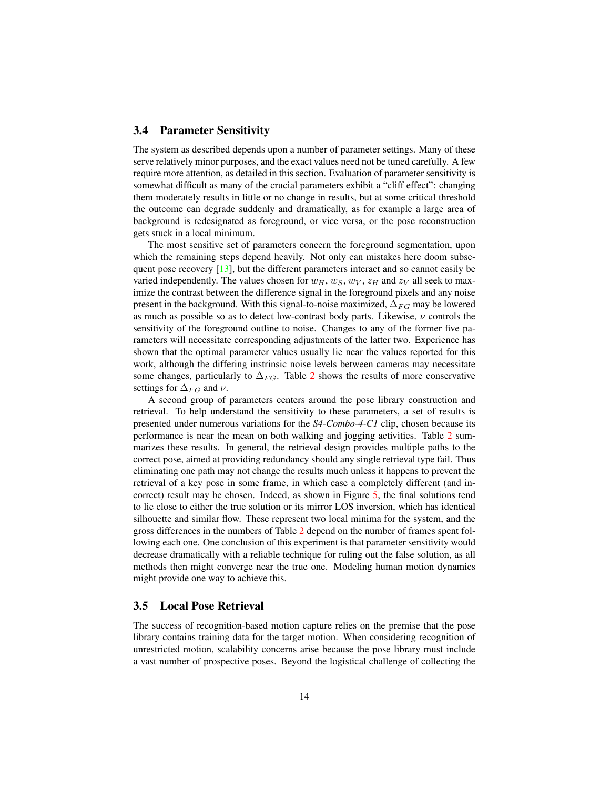#### <span id="page-14-0"></span>3.4 Parameter Sensitivity

The system as described depends upon a number of parameter settings. Many of these serve relatively minor purposes, and the exact values need not be tuned carefully. A few require more attention, as detailed in this section. Evaluation of parameter sensitivity is somewhat difficult as many of the crucial parameters exhibit a "cliff effect": changing them moderately results in little or no change in results, but at some critical threshold the outcome can degrade suddenly and dramatically, as for example a large area of background is redesignated as foreground, or vice versa, or the pose reconstruction gets stuck in a local minimum.

The most sensitive set of parameters concern the foreground segmentation, upon which the remaining steps depend heavily. Not only can mistakes here doom subse-quent pose recovery [\[13\]](#page-17-7), but the different parameters interact and so cannot easily be varied independently. The values chosen for  $w_H$ ,  $w_S$ ,  $w_V$ ,  $z_H$  and  $z_V$  all seek to maximize the contrast between the difference signal in the foreground pixels and any noise present in the background. With this signal-to-noise maximized,  $\Delta_{FG}$  may be lowered as much as possible so as to detect low-contrast body parts. Likewise,  $\nu$  controls the sensitivity of the foreground outline to noise. Changes to any of the former five parameters will necessitate corresponding adjustments of the latter two. Experience has shown that the optimal parameter values usually lie near the values reported for this work, although the differing instrinsic noise levels between cameras may necessitate some changes, particularly to  $\Delta_{FG}$ . Table [2](#page-15-0) shows the results of more conservative settings for  $\Delta_{FG}$  and  $\nu$ .

A second group of parameters centers around the pose library construction and retrieval. To help understand the sensitivity to these parameters, a set of results is presented under numerous variations for the *S4-Combo-4-C1* clip, chosen because its performance is near the mean on both walking and jogging activities. Table [2](#page-15-0) summarizes these results. In general, the retrieval design provides multiple paths to the correct pose, aimed at providing redundancy should any single retrieval type fail. Thus eliminating one path may not change the results much unless it happens to prevent the retrieval of a key pose in some frame, in which case a completely different (and incorrect) result may be chosen. Indeed, as shown in Figure [5,](#page-16-0) the final solutions tend to lie close to either the true solution or its mirror LOS inversion, which has identical silhouette and similar flow. These represent two local minima for the system, and the gross differences in the numbers of Table [2](#page-15-0) depend on the number of frames spent following each one. One conclusion of this experiment is that parameter sensitivity would decrease dramatically with a reliable technique for ruling out the false solution, as all methods then might converge near the true one. Modeling human motion dynamics might provide one way to achieve this.

#### 3.5 Local Pose Retrieval

The success of recognition-based motion capture relies on the premise that the pose library contains training data for the target motion. When considering recognition of unrestricted motion, scalability concerns arise because the pose library must include a vast number of prospective poses. Beyond the logistical challenge of collecting the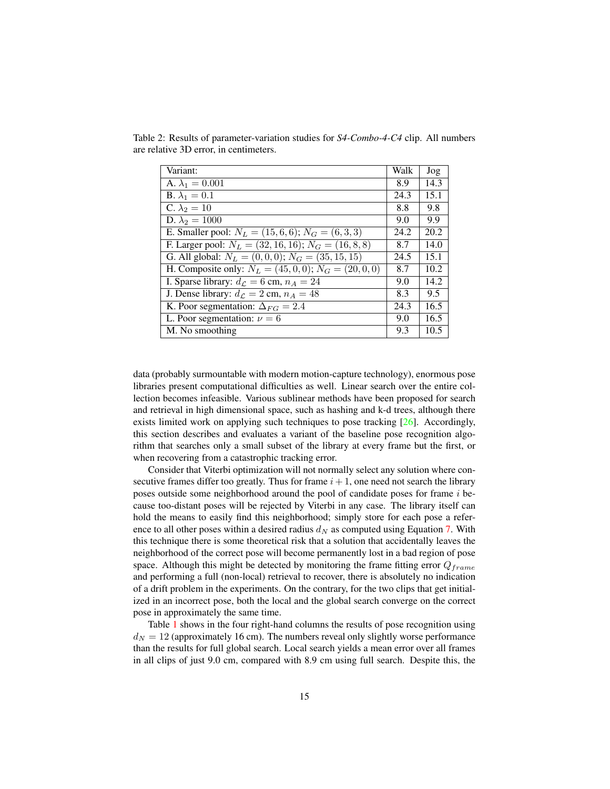<span id="page-15-0"></span>

| Variant:                                                   | Walk | Jog  |
|------------------------------------------------------------|------|------|
| A. $\lambda_1 = 0.001$                                     | 8.9  | 14.3 |
| B. $\lambda_1 = 0.1$                                       | 24.3 | 15.1 |
| C. $\lambda_2=10$                                          | 8.8  | 9.8  |
| D. $\lambda_2 = 1000$                                      | 9.0  | 9.9  |
| E. Smaller pool: $N_L = (15, 6, 6)$ ; $N_G = (6, 3, 3)$    | 24.2 | 20.2 |
| F. Larger pool: $N_L = (32, 16, 16)$ ; $N_G = (16, 8, 8)$  | 8.7  | 14.0 |
| G. All global: $N_L = (0, 0, 0); N_G = (35, 15, 15)$       | 24.5 | 15.1 |
| H. Composite only: $N_L = (45, 0, 0)$ ; $N_G = (20, 0, 0)$ | 8.7  | 10.2 |
| I. Sparse library: $d_{\mathcal{L}} = 6$ cm, $n_A = 24$    | 9.0  | 14.2 |
| J. Dense library: $d_{\mathcal{L}} = 2$ cm, $n_A = 48$     | 8.3  | 9.5  |
| K. Poor segmentation: $\Delta_{FG} = 2.4$                  | 24.3 | 16.5 |
| L. Poor segmentation: $\nu = 6$                            | 9.0  | 16.5 |
| M. No smoothing                                            | 9.3  | 10.5 |

<span id="page-15-1"></span>Table 2: Results of parameter-variation studies for *S4-Combo-4-C4* clip. All numbers are relative 3D error, in centimeters.

data (probably surmountable with modern motion-capture technology), enormous pose libraries present computational difficulties as well. Linear search over the entire collection becomes infeasible. Various sublinear methods have been proposed for search and retrieval in high dimensional space, such as hashing and k-d trees, although there exists limited work on applying such techniques to pose tracking [\[26\]](#page-18-10). Accordingly, this section describes and evaluates a variant of the baseline pose recognition algorithm that searches only a small subset of the library at every frame but the first, or when recovering from a catastrophic tracking error.

Consider that Viterbi optimization will not normally select any solution where consecutive frames differ too greatly. Thus for frame  $i + 1$ , one need not search the library poses outside some neighborhood around the pool of candidate poses for frame i because too-distant poses will be rejected by Viterbi in any case. The library itself can hold the means to easily find this neighborhood; simply store for each pose a reference to all other poses within a desired radius  $d_N$  as computed using Equation [7.](#page-7-1) With this technique there is some theoretical risk that a solution that accidentally leaves the neighborhood of the correct pose will become permanently lost in a bad region of pose space. Although this might be detected by monitoring the frame fitting error  $Q_{frame}$ and performing a full (non-local) retrieval to recover, there is absolutely no indication of a drift problem in the experiments. On the contrary, for the two clips that get initialized in an incorrect pose, both the local and the global search converge on the correct pose in approximately the same time.

Table [1](#page-12-0) shows in the four right-hand columns the results of pose recognition using  $d_N = 12$  (approximately 16 cm). The numbers reveal only slightly worse performance than the results for full global search. Local search yields a mean error over all frames in all clips of just 9.0 cm, compared with 8.9 cm using full search. Despite this, the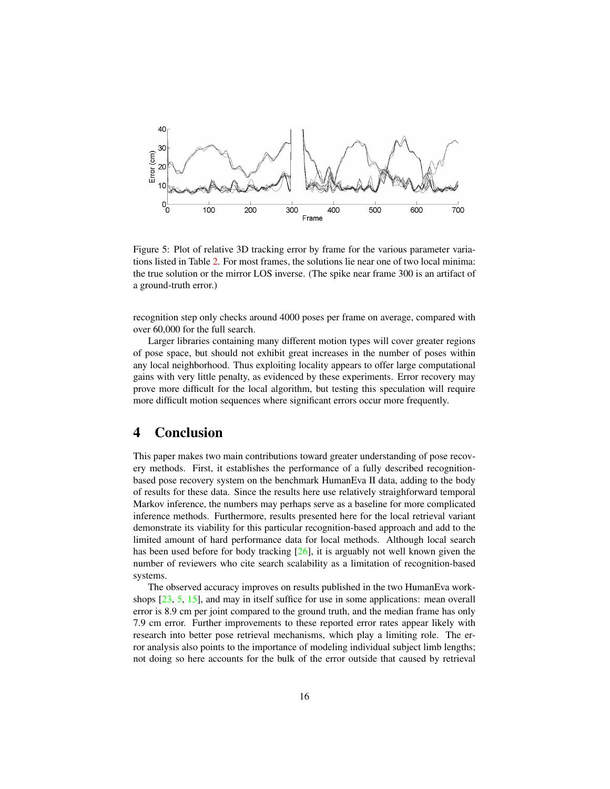<span id="page-16-1"></span>

<span id="page-16-0"></span>Figure 5: Plot of relative 3D tracking error by frame for the various parameter variations listed in Table [2.](#page-15-0) For most frames, the solutions lie near one of two local minima: the true solution or the mirror LOS inverse. (The spike near frame 300 is an artifact of a ground-truth error.)

recognition step only checks around 4000 poses per frame on average, compared with over 60,000 for the full search.

Larger libraries containing many different motion types will cover greater regions of pose space, but should not exhibit great increases in the number of poses within any local neighborhood. Thus exploiting locality appears to offer large computational gains with very little penalty, as evidenced by these experiments. Error recovery may prove more difficult for the local algorithm, but testing this speculation will require more difficult motion sequences where significant errors occur more frequently.

# 4 Conclusion

This paper makes two main contributions toward greater understanding of pose recovery methods. First, it establishes the performance of a fully described recognitionbased pose recovery system on the benchmark HumanEva II data, adding to the body of results for these data. Since the results here use relatively straighforward temporal Markov inference, the numbers may perhaps serve as a baseline for more complicated inference methods. Furthermore, results presented here for the local retrieval variant demonstrate its viability for this particular recognition-based approach and add to the limited amount of hard performance data for local methods. Although local search has been used before for body tracking [\[26\]](#page-18-10), it is arguably not well known given the number of reviewers who cite search scalability as a limitation of recognition-based systems.

The observed accuracy improves on results published in the two HumanEva workshops [\[23,](#page-18-14) [5,](#page-17-12) [15\]](#page-18-17), and may in itself suffice for use in some applications: mean overall error is 8.9 cm per joint compared to the ground truth, and the median frame has only 7.9 cm error. Further improvements to these reported error rates appear likely with research into better pose retrieval mechanisms, which play a limiting role. The error analysis also points to the importance of modeling individual subject limb lengths; not doing so here accounts for the bulk of the error outside that caused by retrieval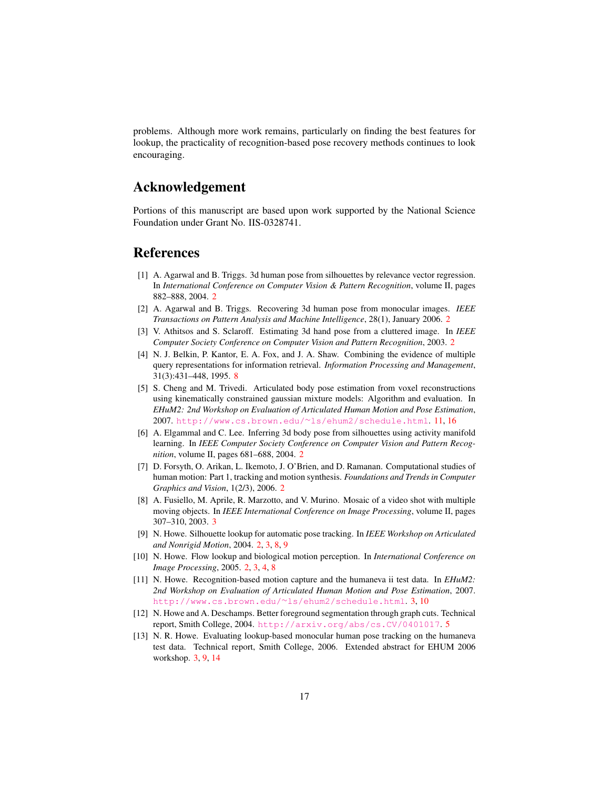problems. Although more work remains, particularly on finding the best features for lookup, the practicality of recognition-based pose recovery methods continues to look encouraging.

# Acknowledgement

Portions of this manuscript are based upon work supported by the National Science Foundation under Grant No. IIS-0328741.

# References

- <span id="page-17-2"></span>[1] A. Agarwal and B. Triggs. 3d human pose from silhouettes by relevance vector regression. In *International Conference on Computer Vision & Pattern Recognition*, volume II, pages 882–888, 2004. [2](#page-2-0)
- <span id="page-17-4"></span>[2] A. Agarwal and B. Triggs. Recovering 3d human pose from monocular images. *IEEE Transactions on Pattern Analysis and Machine Intelligence*, 28(1), January 2006. [2](#page-2-0)
- <span id="page-17-5"></span>[3] V. Athitsos and S. Sclaroff. Estimating 3d hand pose from a cluttered image. In *IEEE Computer Society Conference on Computer Vision and Pattern Recognition*, 2003. [2](#page-2-0)
- <span id="page-17-11"></span>[4] N. J. Belkin, P. Kantor, E. A. Fox, and J. A. Shaw. Combining the evidence of multiple query representations for information retrieval. *Information Processing and Management*, 31(3):431–448, 1995. [8](#page-8-0)
- <span id="page-17-12"></span>[5] S. Cheng and M. Trivedi. Articulated body pose estimation from voxel reconstructions using kinematically constrained gaussian mixture models: Algorithm and evaluation. In *EHuM2: 2nd Workshop on Evaluation of Articulated Human Motion and Pose Estimation*, 2007. [http://www.cs.brown.edu/](http://www.cs.brown.edu/~ls/ehum2/schedule.html)∼ls/ehum2/schedule.html. [11,](#page-11-1) [16](#page-16-1)
- <span id="page-17-3"></span>[6] A. Elgammal and C. Lee. Inferring 3d body pose from silhouettes using activity manifold learning. In *IEEE Computer Society Conference on Computer Vision and Pattern Recognition*, volume II, pages 681–688, 2004. [2](#page-2-0)
- <span id="page-17-1"></span>[7] D. Forsyth, O. Arikan, L. Ikemoto, J. O'Brien, and D. Ramanan. Computational studies of human motion: Part 1, tracking and motion synthesis. *Foundations and Trends in Computer Graphics and Vision*, 1(2/3), 2006. [2](#page-2-0)
- <span id="page-17-9"></span>[8] A. Fusiello, M. Aprile, R. Marzotto, and V. Murino. Mosaic of a video shot with multiple moving objects. In *IEEE International Conference on Image Processing*, volume II, pages 307–310, 2003. [3](#page-3-1)
- <span id="page-17-0"></span>[9] N. Howe. Silhouette lookup for automatic pose tracking. In *IEEE Workshop on Articulated and Nonrigid Motion*, 2004. [2,](#page-2-0) [3,](#page-3-1) [8,](#page-8-0) [9](#page-9-1)
- <span id="page-17-6"></span>[10] N. Howe. Flow lookup and biological motion perception. In *International Conference on Image Processing*, 2005. [2,](#page-2-0) [3,](#page-3-1) [4,](#page-4-1) [8](#page-8-0)
- <span id="page-17-8"></span>[11] N. Howe. Recognition-based motion capture and the humaneva ii test data. In *EHuM2: 2nd Workshop on Evaluation of Articulated Human Motion and Pose Estimation*, 2007. [http://www.cs.brown.edu/](http://www.cs.brown.edu/~ls/ehum2/schedule.html)∼ls/ehum2/schedule.html. [3,](#page-3-1) [10](#page-10-0)
- <span id="page-17-10"></span>[12] N. Howe and A. Deschamps. Better foreground segmentation through graph cuts. Technical report, Smith College, 2004. <http://arxiv.org/abs/cs.CV/0401017>. [5](#page-5-0)
- <span id="page-17-7"></span>[13] N. R. Howe. Evaluating lookup-based monocular human pose tracking on the humaneva test data. Technical report, Smith College, 2006. Extended abstract for EHUM 2006 workshop. [3,](#page-3-1) [9,](#page-9-1) [14](#page-14-0)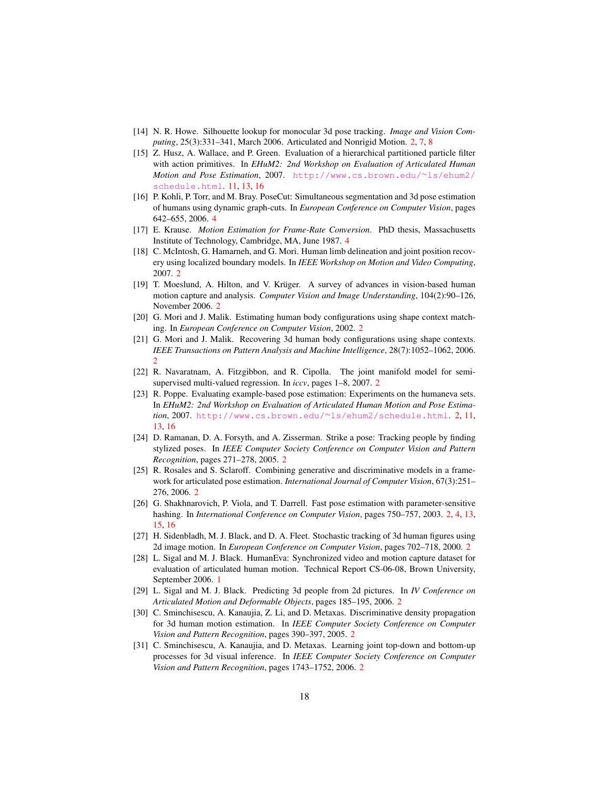- <span id="page-18-1"></span>[14] N. R. Howe. Silhouette lookup for monocular 3d pose tracking. *Image and Vision Computing*, 25(3):331–341, March 2006. Articulated and Nonrigid Motion. [2,](#page-2-0) [7,](#page-7-2) [8](#page-8-0)
- <span id="page-18-17"></span>[15] Z. Husz, A. Wallace, and P. Green. Evaluation of a hierarchical partitioned particle filter with action primitives. In *EHuM2: 2nd Workshop on Evaluation of Articulated Human Motion and Pose Estimation*, 2007. [http://www.cs.brown.edu/](http://www.cs.brown.edu/~ls/ehum2/schedule.html)∼ls/ehum2/ [schedule.html](http://www.cs.brown.edu/~ls/ehum2/schedule.html). [11,](#page-11-1) [13,](#page-13-1) [16](#page-16-1)
- <span id="page-18-16"></span>[16] P. Kohli, P. Torr, and M. Bray. PoseCut: Simultaneous segmentation and 3d pose estimation of humans using dynamic graph-cuts. In *European Conference on Computer Vision*, pages 642–655, 2006. [4](#page-4-1)
- <span id="page-18-15"></span>[17] E. Krause. *Motion Estimation for Frame-Rate Conversion*. PhD thesis, Massachusetts Institute of Technology, Cambridge, MA, June 1987. [4](#page-4-1)
- <span id="page-18-8"></span>[18] C. McIntosh, G. Hamarneh, and G. Mori. Human limb delineation and joint position recovery using localized boundary models. In *IEEE Workshop on Motion and Video Computing*, 2007. [2](#page-2-0)
- <span id="page-18-2"></span>[19] T. Moeslund, A. Hilton, and V. Krüger. A survey of advances in vision-based human motion capture and analysis. *Computer Vision and Image Understanding*, 104(2):90–126, November 2006. [2](#page-2-0)
- <span id="page-18-9"></span>[20] G. Mori and J. Malik. Estimating human body configurations using shape context matching. In *European Conference on Computer Vision*, 2002. [2](#page-2-0)
- <span id="page-18-11"></span>[21] G. Mori and J. Malik. Recovering 3d human body configurations using shape contexts. *IEEE Transactions on Pattern Analysis and Machine Intelligence*, 28(7):1052–1062, 2006.  $\mathcal{D}$
- <span id="page-18-13"></span>[22] R. Navaratnam, A. Fitzgibbon, and R. Cipolla. The joint manifold model for semisupervised multi-valued regression. In *iccv*, pages 1–8, 2007. [2](#page-2-0)
- <span id="page-18-14"></span>[23] R. Poppe. Evaluating example-based pose estimation: Experiments on the humaneva sets. In *EHuM2: 2nd Workshop on Evaluation of Articulated Human Motion and Pose Estimation*, 2007. [http://www.cs.brown.edu/](http://www.cs.brown.edu/~ls/ehum2/schedule.html)∼ls/ehum2/schedule.html. [2,](#page-2-0) [11,](#page-11-1) [13,](#page-13-1) [16](#page-16-1)
- <span id="page-18-6"></span>[24] D. Ramanan, D. A. Forsyth, and A. Zisserman. Strike a pose: Tracking people by finding stylized poses. In *IEEE Computer Society Conference on Computer Vision and Pattern Recognition*, pages 271–278, 2005. [2](#page-2-0)
- <span id="page-18-3"></span>[25] R. Rosales and S. Sclaroff. Combining generative and discriminative models in a framework for articulated pose estimation. *International Journal of Computer Vision*, 67(3):251– 276, 2006. [2](#page-2-0)
- <span id="page-18-10"></span>[26] G. Shakhnarovich, P. Viola, and T. Darrell. Fast pose estimation with parameter-sensitive hashing. In *International Conference on Computer Vision*, pages 750–757, 2003. [2,](#page-2-0) [4,](#page-4-1) [13,](#page-13-1) [15,](#page-15-1) [16](#page-16-1)
- <span id="page-18-5"></span>[27] H. Sidenbladh, M. J. Black, and D. A. Fleet. Stochastic tracking of 3d human figures using 2d image motion. In *European Conference on Computer Vision*, pages 702–718, 2000. [2](#page-2-0)
- <span id="page-18-0"></span>[28] L. Sigal and M. J. Black. HumanEva: Synchronized video and motion capture dataset for evaluation of articulated human motion. Technical Report CS-06-08, Brown University, September 2006. [1](#page-1-0)
- <span id="page-18-7"></span>[29] L. Sigal and M. J. Black. Predicting 3d people from 2d pictures. In *IV Conference on Articulated Motion and Deformable Objects*, pages 185–195, 2006. [2](#page-2-0)
- <span id="page-18-12"></span>[30] C. Sminchisescu, A. Kanaujia, Z. Li, and D. Metaxas. Discriminative density propagation for 3d human motion estimation. In *IEEE Computer Society Conference on Computer Vision and Pattern Recognition*, pages 390–397, 2005. [2](#page-2-0)
- <span id="page-18-4"></span>[31] C. Sminchisescu, A. Kanaujia, and D. Metaxas. Learning joint top-down and bottom-up processes for 3d visual inference. In *IEEE Computer Society Conference on Computer Vision and Pattern Recognition*, pages 1743–1752, 2006. [2](#page-2-0)